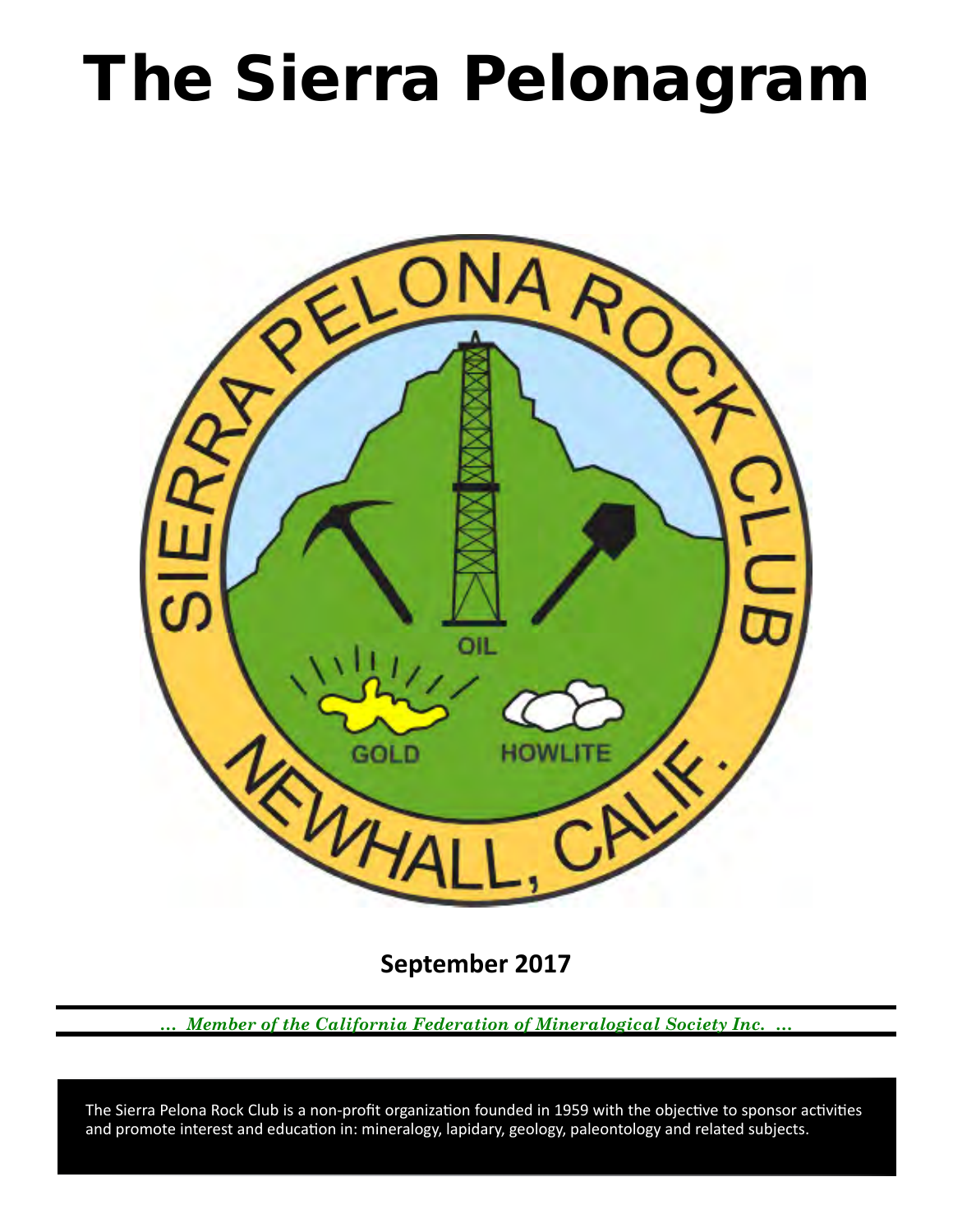# The Sierra Pelonagram



**September 2017**

*… Member of the California Federation of Mineralogical Society Inc. …*

 and promote interest and education in: mineralogy, lapidary, geology, paleontology and related subjects. The Sierra Pelona Rock Club is a non-profit organization founded in 1959 with the objective to sponsor activities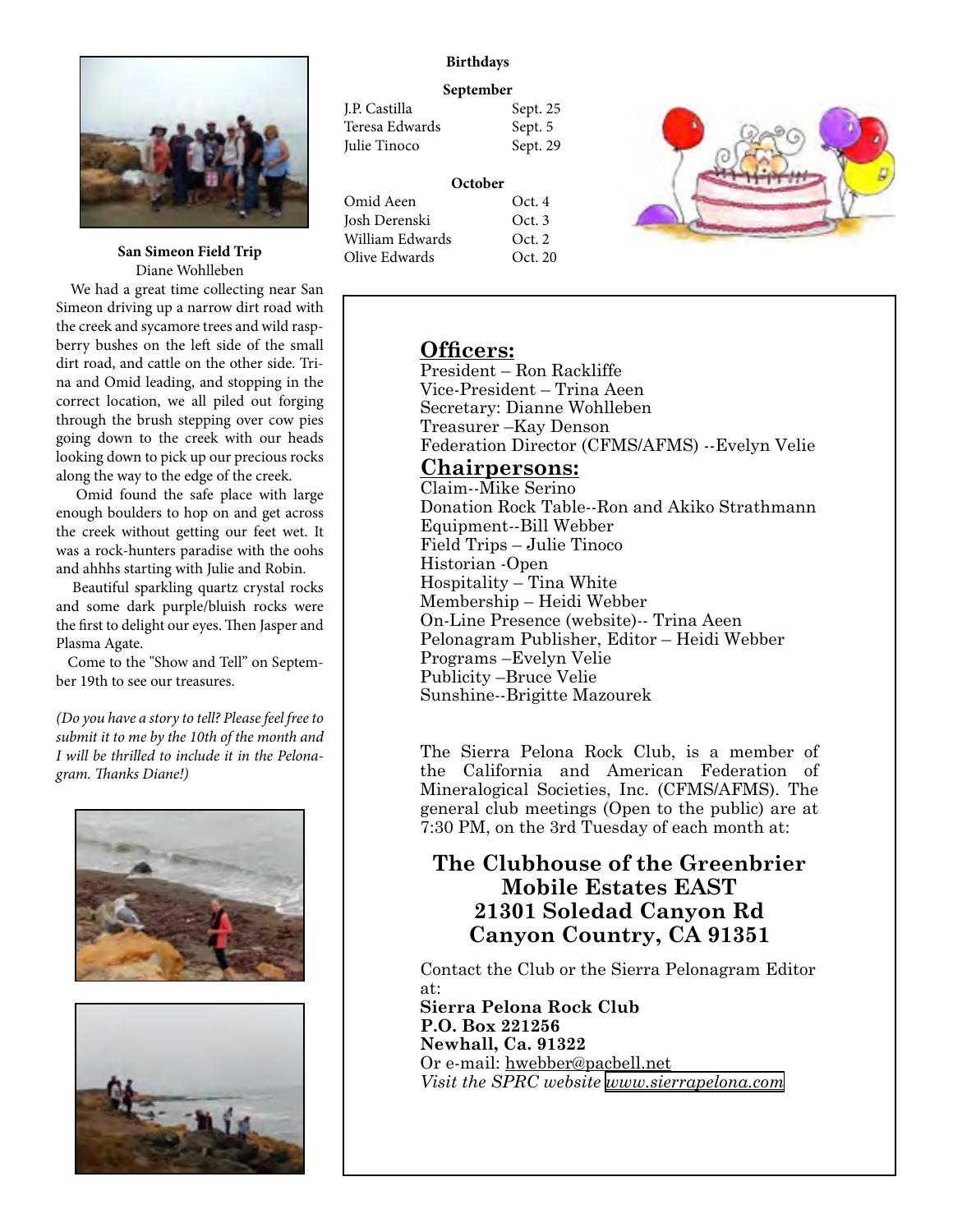

**San Simeon Field Trip** Diane Wohlleben

 We had a great time collecting near San Simeon driving up a narrow dirt road with the creek and sycamore trees and wild raspberry bushes on the left side of the small dirt road, and cattle on the other side. Trina and Omid leading, and stopping in the correct location, we all piled out forging through the brush stepping over cow pies going down to the creek with our heads looking down to pick up our precious rocks along the way to the edge of the creek.

 Omid found the safe place with large enough boulders to hop on and get across the creek without getting our feet wet. It was a rock-hunters paradise with the oohs and ahhhs starting with Julie and Robin.

 Beautiful sparkling quartz crystal rocks and some dark purple/bluish rocks were the first to delight our eyes. Then Jasper and Plasma Agate.

 Come to the "Show and Tell" on September 19th to see our treasures.

*(Do you have a story to tell? Please feel free to submit it to me by the 10th of the month and I will be thrilled to include it in the Pelonagram. Thanks Diane!)*





## **Birthdays**

#### **September**

| J.P. Castilla  | Sept. 25 |
|----------------|----------|
| Teresa Edwards | Sept. 5  |
| Julie Tinoco   | Sept. 29 |
|                |          |

| Oct.4   |
|---------|
| Oct.3   |
| Oct.2   |
| Oct. 20 |
|         |



# **Officers:**

President – Ron Rackliffe Vice‑President – Trina Aeen Secretary: Dianne Wohlleben Treasurer –Kay Denson Federation Director (CFMS/AFMS) --Evelyn Velie

## **Chairpersons:**

Claim--Mike Serino Donation Rock Table--Ron and Akiko Strathmann Equipment--Bill Webber Field Trips – Julie Tinoco Historian ‑Open Hospitality – Tina White Membership – Heidi Webber On-Line Presence (website)-- Trina Aeen Pelonagram Publisher, Editor – Heidi Webber Programs –Evelyn Velie Publicity –Bruce Velie Sunshine--Brigitte Mazourek

The Sierra Pelona Rock Club, is a member of the California and American Federation of Mineralogical Societies, Inc. (CFMS/AFMS). The general club meetings (Open to the public) are at 7:30 PM, on the 3rd Tuesday of each month at:

# **The Clubhouse of the Greenbrier Mobile Estates EAST 21301 Soledad Canyon Rd Canyon Country, CA 91351**

Contact the Club or the Sierra Pelonagram Editor at:

**Sierra Pelona Rock Club P.O. Box 221256 Newhall, Ca. 91322** Or e‑mail: hwebber@pacbell.net *Visit the SPRC website [www.sierrapelona.com](http://www.sierrapelona.com/)*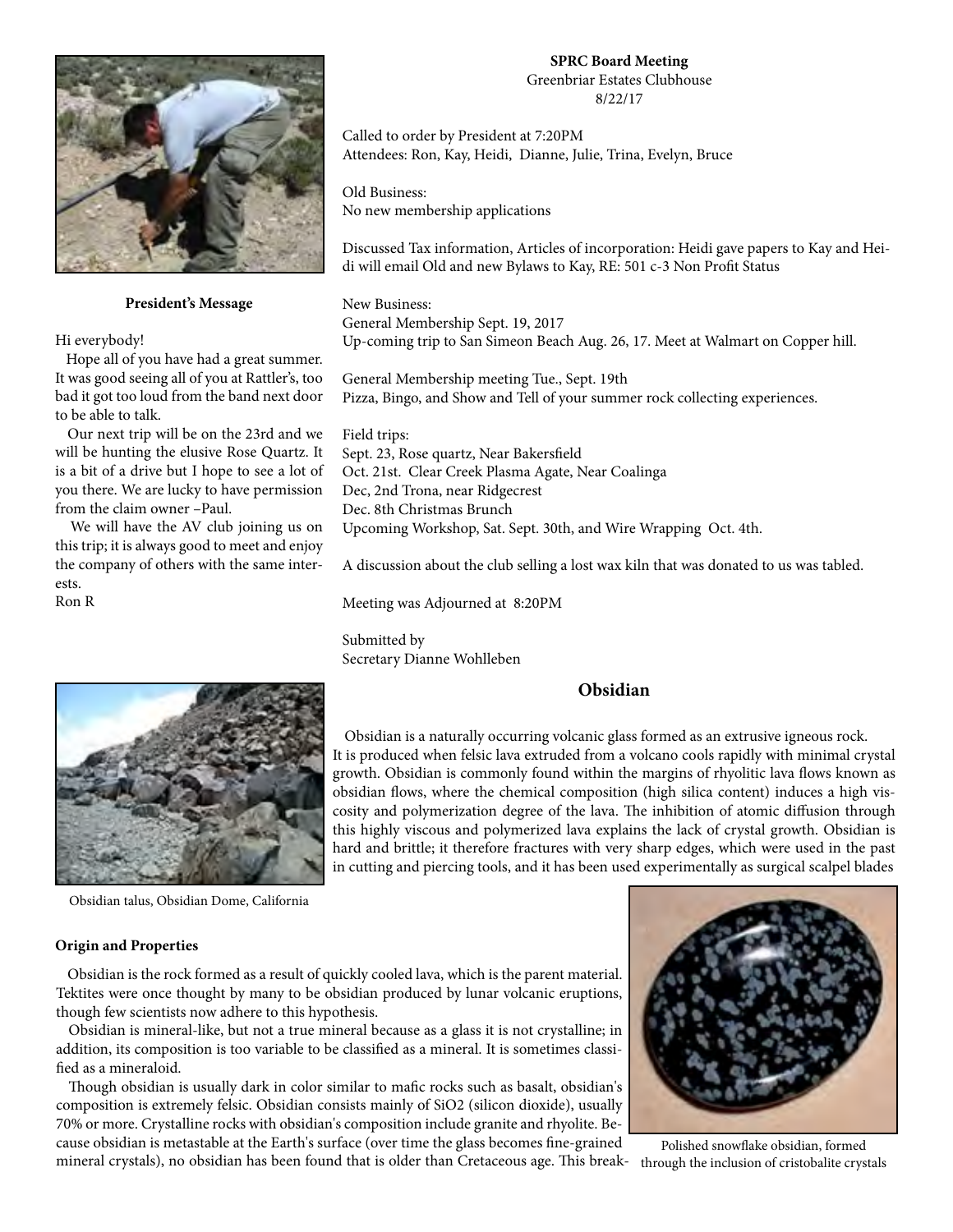

**President's Message**

Hi everybody!

 Hope all of you have had a great summer. It was good seeing all of you at Rattler's, too bad it got too loud from the band next door to be able to talk.

 Our next trip will be on the 23rd and we will be hunting the elusive Rose Quartz. It is a bit of a drive but I hope to see a lot of you there. We are lucky to have permission from the claim owner –Paul.

 We will have the AV club joining us on this trip; it is always good to meet and enjoy the company of others with the same interests.

Ron R



Obsidian talus, Obsidian Dome, California

#### **Origin and Properties**

 Obsidian is the rock formed as a result of quickly cooled lava, which is the parent material. Tektites were once thought by many to be obsidian produced by lunar volcanic eruptions, though few scientists now adhere to this hypothesis.

 Obsidian is mineral-like, but not a true mineral because as a glass it is not crystalline; in addition, its composition is too variable to be classified as a mineral. It is sometimes classified as a mineraloid.

 Though obsidian is usually dark in color similar to mafic rocks such as basalt, obsidian's composition is extremely felsic. Obsidian consists mainly of SiO2 (silicon dioxide), usually 70% or more. Crystalline rocks with obsidian's composition include granite and rhyolite. Because obsidian is metastable at the Earth's surface (over time the glass becomes fine-grained mineral crystals), no obsidian has been found that is older than Cretaceous age. This break-through the inclusion of cristobalite crystals

#### **SPRC Board Meeting**  Greenbriar Estates Clubhouse 8/22/17

Called to order by President at 7:20PM Attendees: Ron, Kay, Heidi, Dianne, Julie, Trina, Evelyn, Bruce

Old Business: No new membership applications

Discussed Tax information, Articles of incorporation: Heidi gave papers to Kay and Heidi will email Old and new Bylaws to Kay, RE: 501 c-3 Non Profit Status

New Business: General Membership Sept. 19, 2017 Up-coming trip to San Simeon Beach Aug. 26, 17. Meet at Walmart on Copper hill.

General Membership meeting Tue., Sept. 19th Pizza, Bingo, and Show and Tell of your summer rock collecting experiences.

Field trips: Sept. 23, Rose quartz, Near Bakersfield Oct. 21st. Clear Creek Plasma Agate, Near Coalinga Dec, 2nd Trona, near Ridgecrest Dec. 8th Christmas Brunch Upcoming Workshop, Sat. Sept. 30th, and Wire Wrapping Oct. 4th.

A discussion about the club selling a lost wax kiln that was donated to us was tabled.

Meeting was Adjourned at 8:20PM

Submitted by Secretary Dianne Wohlleben

## **Obsidian**

 Obsidian is a naturally occurring volcanic glass formed as an extrusive igneous rock. It is produced when felsic lava extruded from a volcano cools rapidly with minimal crystal growth. Obsidian is commonly found within the margins of rhyolitic lava flows known as obsidian flows, where the chemical composition (high silica content) induces a high viscosity and polymerization degree of the lava. The inhibition of atomic diffusion through this highly viscous and polymerized lava explains the lack of crystal growth. Obsidian is hard and brittle; it therefore fractures with very sharp edges, which were used in the past in cutting and piercing tools, and it has been used experimentally as surgical scalpel blades



Polished snowflake obsidian, formed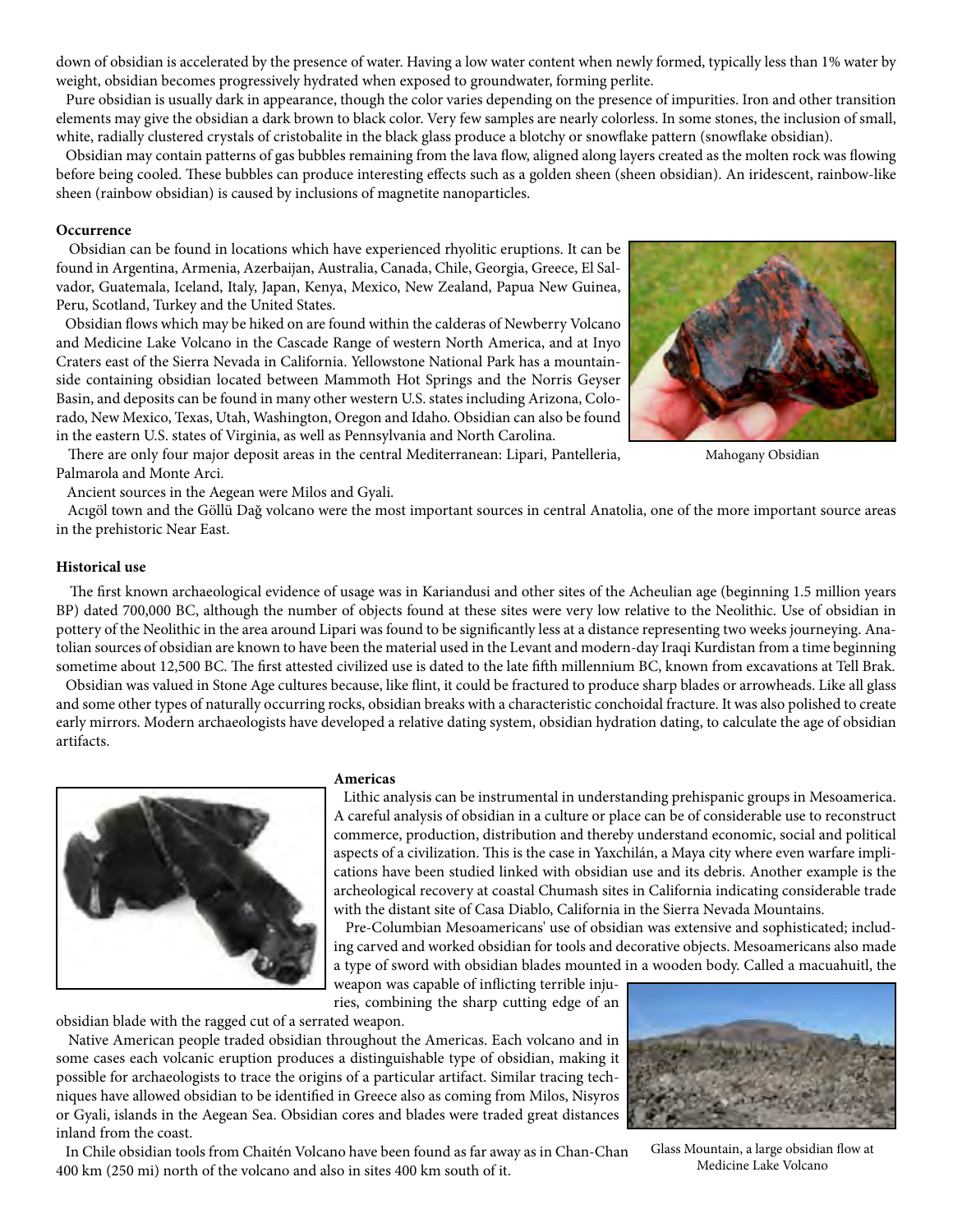down of obsidian is accelerated by the presence of water. Having a low water content when newly formed, typically less than 1% water by weight, obsidian becomes progressively hydrated when exposed to groundwater, forming perlite.

 Pure obsidian is usually dark in appearance, though the color varies depending on the presence of impurities. Iron and other transition elements may give the obsidian a dark brown to black color. Very few samples are nearly colorless. In some stones, the inclusion of small, white, radially clustered crystals of cristobalite in the black glass produce a blotchy or snowflake pattern (snowflake obsidian).

 Obsidian may contain patterns of gas bubbles remaining from the lava flow, aligned along layers created as the molten rock was flowing before being cooled. These bubbles can produce interesting effects such as a golden sheen (sheen obsidian). An iridescent, rainbow-like sheen (rainbow obsidian) is caused by inclusions of magnetite nanoparticles.

#### **Occurrence**

 Obsidian can be found in locations which have experienced rhyolitic eruptions. It can be found in Argentina, Armenia, Azerbaijan, Australia, Canada, Chile, Georgia, Greece, El Salvador, Guatemala, Iceland, Italy, Japan, Kenya, Mexico, New Zealand, Papua New Guinea, Peru, Scotland, Turkey and the United States.

 Obsidian flows which may be hiked on are found within the calderas of Newberry Volcano and Medicine Lake Volcano in the Cascade Range of western North America, and at Inyo Craters east of the Sierra Nevada in California. Yellowstone National Park has a mountainside containing obsidian located between Mammoth Hot Springs and the Norris Geyser Basin, and deposits can be found in many other western U.S. states including Arizona, Colorado, New Mexico, Texas, Utah, Washington, Oregon and Idaho. Obsidian can also be found in the eastern U.S. states of Virginia, as well as Pennsylvania and North Carolina.

 There are only four major deposit areas in the central Mediterranean: Lipari, Pantelleria, Palmarola and Monte Arci.

Ancient sources in the Aegean were Milos and Gyali.



#### **Historical use**

 The first known archaeological evidence of usage was in Kariandusi and other sites of the Acheulian age (beginning 1.5 million years BP) dated 700,000 BC, although the number of objects found at these sites were very low relative to the Neolithic. Use of obsidian in pottery of the Neolithic in the area around Lipari was found to be significantly less at a distance representing two weeks journeying. Anatolian sources of obsidian are known to have been the material used in the Levant and modern-day Iraqi Kurdistan from a time beginning sometime about 12,500 BC. The first attested civilized use is dated to the late fifth millennium BC, known from excavations at Tell Brak.

 Obsidian was valued in Stone Age cultures because, like flint, it could be fractured to produce sharp blades or arrowheads. Like all glass and some other types of naturally occurring rocks, obsidian breaks with a characteristic conchoidal fracture. It was also polished to create early mirrors. Modern archaeologists have developed a relative dating system, obsidian hydration dating, to calculate the age of obsidian artifacts.



#### **Americas**

 Lithic analysis can be instrumental in understanding prehispanic groups in Mesoamerica. A careful analysis of obsidian in a culture or place can be of considerable use to reconstruct commerce, production, distribution and thereby understand economic, social and political aspects of a civilization. This is the case in Yaxchilán, a Maya city where even warfare implications have been studied linked with obsidian use and its debris. Another example is the archeological recovery at coastal Chumash sites in California indicating considerable trade with the distant site of Casa Diablo, California in the Sierra Nevada Mountains.

 Pre-Columbian Mesoamericans' use of obsidian was extensive and sophisticated; including carved and worked obsidian for tools and decorative objects. Mesoamericans also made a type of sword with obsidian blades mounted in a wooden body. Called a macuahuitl, the

weapon was capable of inflicting terrible injuries, combining the sharp cutting edge of an obsidian blade with the ragged cut of a serrated weapon.

 Native American people traded obsidian throughout the Americas. Each volcano and in some cases each volcanic eruption produces a distinguishable type of obsidian, making it possible for archaeologists to trace the origins of a particular artifact. Similar tracing techniques have allowed obsidian to be identified in Greece also as coming from Milos, Nisyros or Gyali, islands in the Aegean Sea. Obsidian cores and blades were traded great distances inland from the coast.

 In Chile obsidian tools from Chaitén Volcano have been found as far away as in Chan-Chan 400 km (250 mi) north of the volcano and also in sites 400 km south of it.



Glass Mountain, a large obsidian flow at Medicine Lake Volcano



Mahogany Obsidian